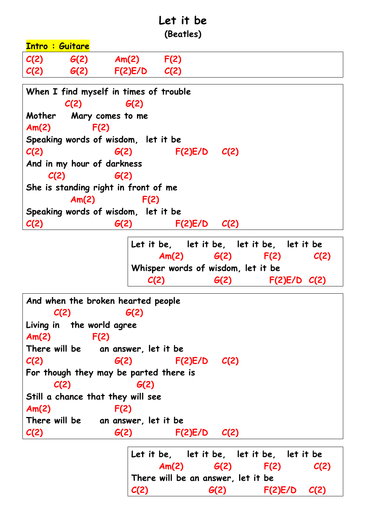## **Let it be (Beatles)**

|        |                            |                                        | , , , , , , , , , , , |      |
|--------|----------------------------|----------------------------------------|-----------------------|------|
|        | <b>Intro: Guitare</b>      |                                        |                       |      |
| C(2)   | G(2)                       | Am(2)                                  | F(2)                  |      |
| C(2)   | G(2)                       | $F(2)E/D$ $C(2)$                       |                       |      |
|        |                            | When I find myself in times of trouble |                       |      |
|        | C(2)                       | G(2)                                   |                       |      |
| Mother |                            | Mary comes to me                       |                       |      |
| Am(2)  | F(2)                       |                                        |                       |      |
|        |                            | Speaking words of wisdom, let it be    |                       |      |
| C(2)   |                            | G(2)                                   | F(2)E/D               | C(2) |
|        | And in my hour of darkness |                                        |                       |      |
|        | C(2)                       | G(2)                                   |                       |      |
|        |                            | She is standing right in front of me   |                       |      |
|        | Am(2)                      | F(2)                                   |                       |      |

**Speaking words of wisdom, let it be C(2) G(2) F(2)E/D C(2)**

> **Let it be, let it be, let it be, let it be Am(2) G(2) F(2) C(2) Whisper words of wisdom, let it be C(2) G(2) F(2)E/D C(2)**

```
And when the broken hearted people
    C(2) G(2)
Living in the world agree
Am(2) F(2)
There will be an answer, let it be
C(2) G(2) F(2)E/D C(2)
For though they may be parted there is
    C(2) G(2)
Still a chance that they will see
Am(2) F(2)
There will be an answer, let it be
C(2) G(2) F(2)E/D C(2)
                  Let it be, let it be, let it be, let it be
                      Am(2) G(2) F(2) C(2)
```
**There will be an answer, let it be C(2) G(2) F(2)E/D C(2)**